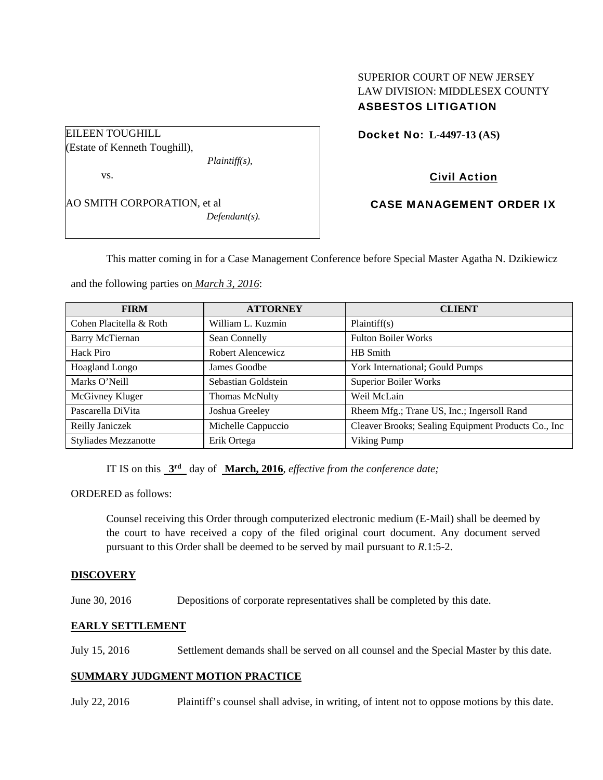# SUPERIOR COURT OF NEW JERSEY LAW DIVISION: MIDDLESEX COUNTY ASBESTOS LITIGATION

Docket No: **L-4497-13 (AS)** 

Civil Action

CASE MANAGEMENT ORDER IX

This matter coming in for a Case Management Conference before Special Master Agatha N. Dzikiewicz

and the following parties on *March 3, 2016*:

| <b>FIRM</b>                 | <b>ATTORNEY</b>       | <b>CLIENT</b>                                       |
|-----------------------------|-----------------------|-----------------------------------------------------|
| Cohen Placitella & Roth     | William L. Kuzmin     | Plaintiff(s)                                        |
| Barry McTiernan             | Sean Connelly         | <b>Fulton Boiler Works</b>                          |
| <b>Hack Piro</b>            | Robert Alencewicz     | HB Smith                                            |
| Hoagland Longo              | James Goodbe          | York International; Gould Pumps                     |
| Marks O'Neill               | Sebastian Goldstein   | <b>Superior Boiler Works</b>                        |
| McGivney Kluger             | <b>Thomas McNulty</b> | Weil McLain                                         |
| Pascarella DiVita           | Joshua Greeley        | Rheem Mfg.; Trane US, Inc.; Ingersoll Rand          |
| Reilly Janiczek             | Michelle Cappuccio    | Cleaver Brooks; Sealing Equipment Products Co., Inc |
| <b>Styliades Mezzanotte</b> | Erik Ortega           | Viking Pump                                         |

IT IS on this **3rd** day of **March, 2016**, *effective from the conference date;*

ORDERED as follows:

Counsel receiving this Order through computerized electronic medium (E-Mail) shall be deemed by the court to have received a copy of the filed original court document. Any document served pursuant to this Order shall be deemed to be served by mail pursuant to *R*.1:5-2.

### **DISCOVERY**

June 30, 2016 Depositions of corporate representatives shall be completed by this date.

### **EARLY SETTLEMENT**

July 15, 2016 Settlement demands shall be served on all counsel and the Special Master by this date.

## **SUMMARY JUDGMENT MOTION PRACTICE**

July 22, 2016 Plaintiff's counsel shall advise, in writing, of intent not to oppose motions by this date.

(Estate of Kenneth Toughill), *Plaintiff(s),*  vs.

EILEEN TOUGHILL

AO SMITH CORPORATION, et al *Defendant(s).*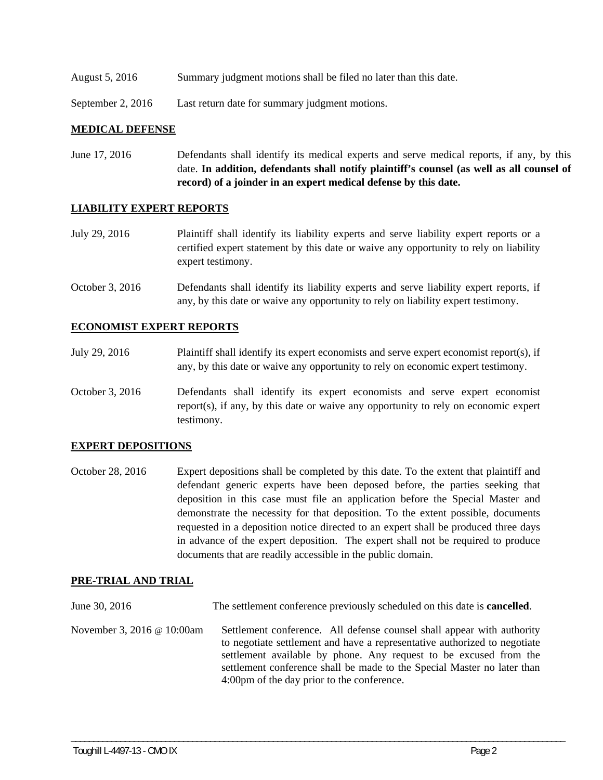August 5, 2016 Summary judgment motions shall be filed no later than this date.

September 2, 2016 Last return date for summary judgment motions.

#### **MEDICAL DEFENSE**

June 17, 2016 Defendants shall identify its medical experts and serve medical reports, if any, by this date. **In addition, defendants shall notify plaintiff's counsel (as well as all counsel of record) of a joinder in an expert medical defense by this date.** 

#### **LIABILITY EXPERT REPORTS**

- July 29, 2016 Plaintiff shall identify its liability experts and serve liability expert reports or a certified expert statement by this date or waive any opportunity to rely on liability expert testimony.
- October 3, 2016 Defendants shall identify its liability experts and serve liability expert reports, if any, by this date or waive any opportunity to rely on liability expert testimony.

#### **ECONOMIST EXPERT REPORTS**

- July 29, 2016 Plaintiff shall identify its expert economists and serve expert economist report(s), if any, by this date or waive any opportunity to rely on economic expert testimony.
- October 3, 2016 Defendants shall identify its expert economists and serve expert economist report(s), if any, by this date or waive any opportunity to rely on economic expert testimony.

#### **EXPERT DEPOSITIONS**

October 28, 2016 Expert depositions shall be completed by this date. To the extent that plaintiff and defendant generic experts have been deposed before, the parties seeking that deposition in this case must file an application before the Special Master and demonstrate the necessity for that deposition. To the extent possible, documents requested in a deposition notice directed to an expert shall be produced three days in advance of the expert deposition. The expert shall not be required to produce documents that are readily accessible in the public domain.

#### **PRE-TRIAL AND TRIAL**

June 30, 2016 The settlement conference previously scheduled on this date is **cancelled**.

November 3, 2016 @ 10:00am Settlement conference. All defense counsel shall appear with authority to negotiate settlement and have a representative authorized to negotiate settlement available by phone. Any request to be excused from the settlement conference shall be made to the Special Master no later than 4:00pm of the day prior to the conference.

\_\_\_\_\_\_\_\_\_\_\_\_\_\_\_\_\_\_\_\_\_\_\_\_\_\_\_\_\_\_\_\_\_\_\_\_\_\_\_\_\_\_\_\_\_\_\_\_\_\_\_\_\_\_\_\_\_\_\_\_\_\_\_\_\_\_\_\_\_\_\_\_\_\_\_\_\_\_\_\_\_\_\_\_\_\_\_\_\_\_\_\_\_\_\_\_\_\_\_\_\_\_\_\_\_\_\_\_\_\_